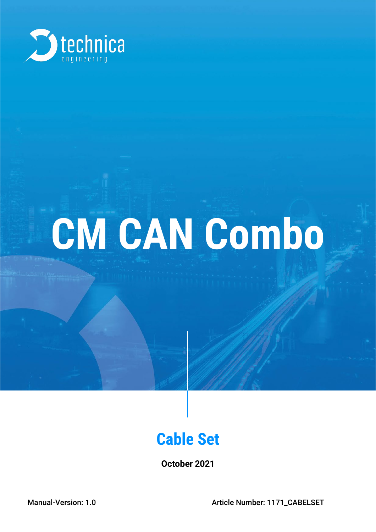

# **CM CAN Combo**

## **Cable Set**

**October 2021**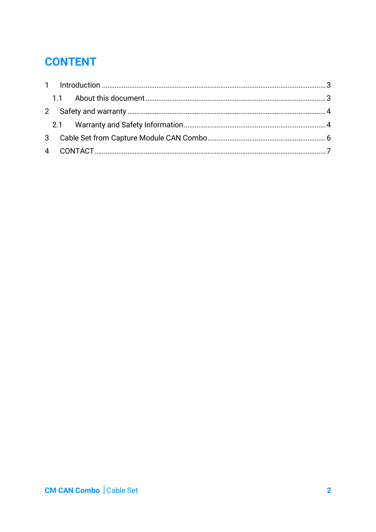## **CONTENT**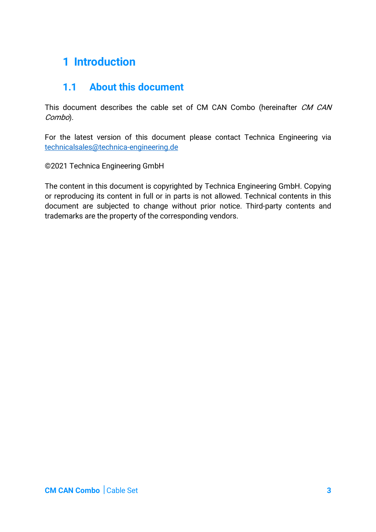## <span id="page-2-0"></span>**1 Introduction**

#### <span id="page-2-1"></span>**1.1 About this document**

This document describes the cable set of CM CAN Combo (hereinafter CM CAN Combo).

For the latest version of this document please contact Technica Engineering via technicalsales@technica-engineering.de

©2021 Technica Engineering GmbH

The content in this document is copyrighted by Technica Engineering GmbH. Copying or reproducing its content in full or in parts is not allowed. Technical contents in this document are subjected to change without prior notice. Third-party contents and trademarks are the property of the corresponding vendors.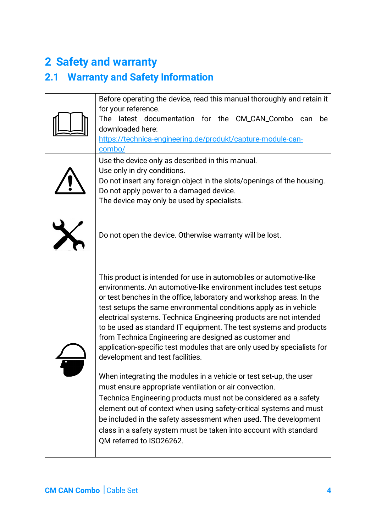## <span id="page-3-0"></span>**2 Safety and warranty**

## <span id="page-3-1"></span>**2.1 Warranty and Safety Information**

| Before operating the device, read this manual thoroughly and retain it<br>for your reference.<br>The latest documentation for the CM_CAN_Combo can<br>be<br>downloaded here:<br>https://technica-engineering.de/produkt/capture-module-can-<br>combo/                                                                                                                                                                                                                                                                                                                                                                                                                                                                                                                                                                                                                                                                                                                                                                                                   |
|---------------------------------------------------------------------------------------------------------------------------------------------------------------------------------------------------------------------------------------------------------------------------------------------------------------------------------------------------------------------------------------------------------------------------------------------------------------------------------------------------------------------------------------------------------------------------------------------------------------------------------------------------------------------------------------------------------------------------------------------------------------------------------------------------------------------------------------------------------------------------------------------------------------------------------------------------------------------------------------------------------------------------------------------------------|
| Use the device only as described in this manual.<br>Use only in dry conditions.<br>Do not insert any foreign object in the slots/openings of the housing.<br>Do not apply power to a damaged device.<br>The device may only be used by specialists.                                                                                                                                                                                                                                                                                                                                                                                                                                                                                                                                                                                                                                                                                                                                                                                                     |
| Do not open the device. Otherwise warranty will be lost.                                                                                                                                                                                                                                                                                                                                                                                                                                                                                                                                                                                                                                                                                                                                                                                                                                                                                                                                                                                                |
| This product is intended for use in automobiles or automotive-like<br>environments. An automotive-like environment includes test setups<br>or test benches in the office, laboratory and workshop areas. In the<br>test setups the same environmental conditions apply as in vehicle<br>electrical systems. Technica Engineering products are not intended<br>to be used as standard IT equipment. The test systems and products<br>from Technica Engineering are designed as customer and<br>application-specific test modules that are only used by specialists for<br>development and test facilities.<br>When integrating the modules in a vehicle or test set-up, the user<br>must ensure appropriate ventilation or air convection.<br>Technica Engineering products must not be considered as a safety<br>element out of context when using safety-critical systems and must<br>be included in the safety assessment when used. The development<br>class in a safety system must be taken into account with standard<br>QM referred to ISO26262. |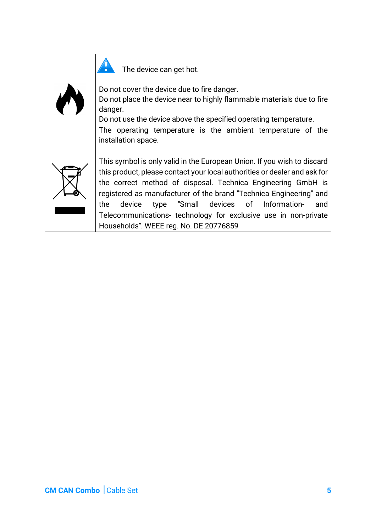

The device can get hot.

Do not cover the device due to fire danger. Do not place the device near to highly flammable materials due to fire danger. Do not use the device above the specified operating temperature. The operating temperature is the ambient temperature of the installation space.



This symbol is only valid in the European Union. If you wish to discard this product, please contact your local authorities or dealer and ask for the correct method of disposal. Technica Engineering GmbH is registered as manufacturer of the brand "Technica Engineering" and the device type "Small devices of Information- and Telecommunications- technology for exclusive use in non-private Households". WEEE reg. No. DE 20776859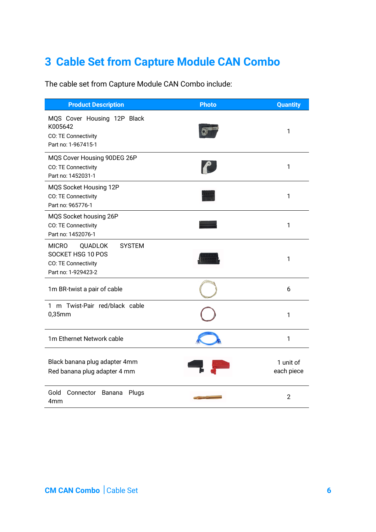## <span id="page-5-0"></span>**3 Cable Set from Capture Module CAN Combo**

The cable set from Capture Module CAN Combo include:

| <b>Product Description</b>                                                                                         | <b>Photo</b> | <b>Quantity</b>         |
|--------------------------------------------------------------------------------------------------------------------|--------------|-------------------------|
| MQS Cover Housing 12P Black<br>K005642<br>CO: TE Connectivity<br>Part no: 1-967415-1                               |              | 1                       |
| MQS Cover Housing 90DEG 26P<br>CO: TE Connectivity<br>Part no: 1452031-1                                           |              | 1                       |
| MQS Socket Housing 12P<br>CO: TE Connectivity<br>Part no: 965776-1                                                 |              | 1                       |
| MQS Socket housing 26P<br>CO: TE Connectivity<br>Part no: 1452076-1                                                |              | 1                       |
| <b>MICRO</b><br><b>SYSTEM</b><br><b>QUADLOK</b><br>SOCKET HSG 10 POS<br>CO: TE Connectivity<br>Part no: 1-929423-2 |              | 1                       |
| 1m BR-twist a pair of cable                                                                                        |              | 6                       |
| 1 m Twist-Pair red/black cable<br>$0,35$ mm                                                                        |              | 1                       |
| 1m Ethernet Network cable                                                                                          |              | 1                       |
| Black banana plug adapter 4mm<br>Red banana plug adapter 4 mm                                                      |              | 1 unit of<br>each piece |
| Gold<br>Connector Banana<br>Plugs<br>4mm                                                                           |              | $\overline{2}$          |